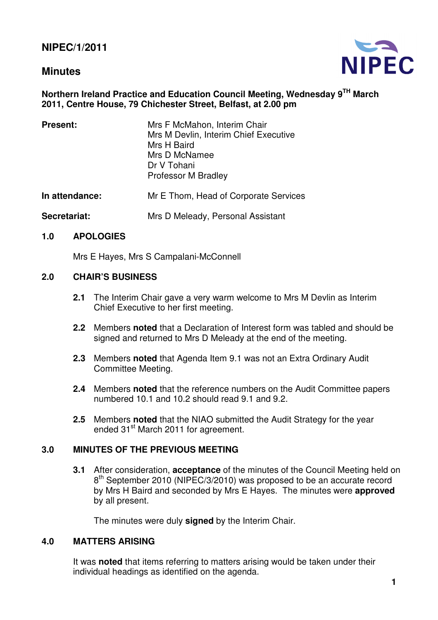# **Minutes**



## **Northern Ireland Practice and Education Council Meeting, Wednesday 9TH March 2011, Centre House, 79 Chichester Street, Belfast, at 2.00 pm**

| <b>Present:</b> | Mrs F McMahon, Interim Chair<br>Mrs M Devlin, Interim Chief Executive<br>Mrs H Baird<br>Mrs D McNamee<br>Dr V Tohani<br><b>Professor M Bradley</b> |
|-----------------|----------------------------------------------------------------------------------------------------------------------------------------------------|
| In attendance:  | Mr E Thom, Head of Corporate Services                                                                                                              |
| Secretariat:    | Mrs D Meleady, Personal Assistant                                                                                                                  |

## **1.0 APOLOGIES**

Mrs E Hayes, Mrs S Campalani-McConnell

#### **2.0 CHAIR'S BUSINESS**

- **2.1** The Interim Chair gave a very warm welcome to Mrs M Devlin as Interim Chief Executive to her first meeting.
- **2.2** Members **noted** that a Declaration of Interest form was tabled and should be signed and returned to Mrs D Meleady at the end of the meeting.
- **2.3** Members **noted** that Agenda Item 9.1 was not an Extra Ordinary Audit Committee Meeting.
- **2.4** Members **noted** that the reference numbers on the Audit Committee papers numbered 10.1 and 10.2 should read 9.1 and 9.2.
- **2.5** Members **noted** that the NIAO submitted the Audit Strategy for the year ended 31<sup>st</sup> March 2011 for agreement.

## **3.0 MINUTES OF THE PREVIOUS MEETING**

**3.1** After consideration, **acceptance** of the minutes of the Council Meeting held on 8<sup>th</sup> September 2010 (NIPEC/3/2010) was proposed to be an accurate record by Mrs H Baird and seconded by Mrs E Hayes. The minutes were **approved** by all present.

The minutes were duly **signed** by the Interim Chair.

#### **4.0 MATTERS ARISING**

 It was **noted** that items referring to matters arising would be taken under their individual headings as identified on the agenda.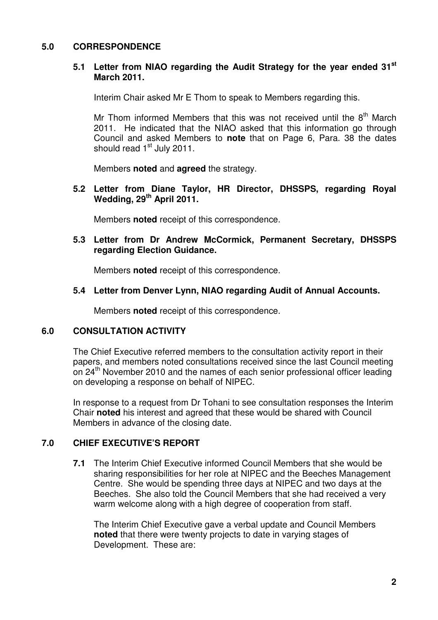## **5.0 CORRESPONDENCE**

#### **5.1 Letter from NIAO regarding the Audit Strategy for the year ended 31st March 2011.**

Interim Chair asked Mr E Thom to speak to Members regarding this.

Mr Thom informed Members that this was not received until the  $8<sup>th</sup>$  March 2011. He indicated that the NIAO asked that this information go through Council and asked Members to **note** that on Page 6, Para. 38 the dates should read 1<sup>st</sup> July 2011.

Members **noted** and **agreed** the strategy.

**5.2 Letter from Diane Taylor, HR Director, DHSSPS, regarding Royal Wedding, 29th April 2011.** 

Members **noted** receipt of this correspondence.

#### **5.3 Letter from Dr Andrew McCormick, Permanent Secretary, DHSSPS regarding Election Guidance.**

Members **noted** receipt of this correspondence.

#### **5.4 Letter from Denver Lynn, NIAO regarding Audit of Annual Accounts.**

Members **noted** receipt of this correspondence.

#### **6.0 CONSULTATION ACTIVITY**

 The Chief Executive referred members to the consultation activity report in their papers, and members noted consultations received since the last Council meeting on 24<sup>th</sup> November 2010 and the names of each senior professional officer leading on developing a response on behalf of NIPEC.

 In response to a request from Dr Tohani to see consultation responses the Interim Chair **noted** his interest and agreed that these would be shared with Council Members in advance of the closing date.

#### **7.0 CHIEF EXECUTIVE'S REPORT**

**7.1** The Interim Chief Executive informed Council Members that she would be sharing responsibilities for her role at NIPEC and the Beeches Management Centre. She would be spending three days at NIPEC and two days at the Beeches. She also told the Council Members that she had received a very warm welcome along with a high degree of cooperation from staff.

 The Interim Chief Executive gave a verbal update and Council Members **noted** that there were twenty projects to date in varying stages of Development. These are: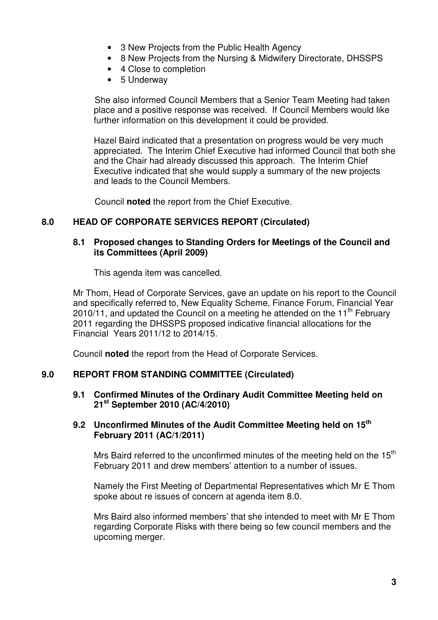- 3 New Projects from the Public Health Agency
- 8 New Projects from the Nursing & Midwifery Directorate, DHSSPS
- 4 Close to completion
- 5 Underway

 She also informed Council Members that a Senior Team Meeting had taken place and a positive response was received. If Council Members would like further information on this development it could be provided.

Hazel Baird indicated that a presentation on progress would be very much appreciated. The Interim Chief Executive had informed Council that both she and the Chair had already discussed this approach. The Interim Chief Executive indicated that she would supply a summary of the new projects and leads to the Council Members.

Council **noted** the report from the Chief Executive.

## **8.0 HEAD OF CORPORATE SERVICES REPORT (Circulated)**

## **8.1 Proposed changes to Standing Orders for Meetings of the Council and its Committees (April 2009)**

This agenda item was cancelled.

Mr Thom, Head of Corporate Services, gave an update on his report to the Council and specifically referred to, New Equality Scheme, Finance Forum, Financial Year 2010/11, and updated the Council on a meeting he attended on the 11<sup>th</sup> February 2011 regarding the DHSSPS proposed indicative financial allocations for the Financial Years 2011/12 to 2014/15.

Council **noted** the report from the Head of Corporate Services.

## **9.0 REPORT FROM STANDING COMMITTEE (Circulated)**

### **9.1 Confirmed Minutes of the Ordinary Audit Committee Meeting held on 21st September 2010 (AC/4/2010)**

### **9.2 Unconfirmed Minutes of the Audit Committee Meeting held on 15th February 2011 (AC/1/2011)**

Mrs Baird referred to the unconfirmed minutes of the meeting held on the 15<sup>th</sup> February 2011 and drew members' attention to a number of issues.

 Namely the First Meeting of Departmental Representatives which Mr E Thom spoke about re issues of concern at agenda item 8.0.

 Mrs Baird also informed members' that she intended to meet with Mr E Thom regarding Corporate Risks with there being so few council members and the upcoming merger.